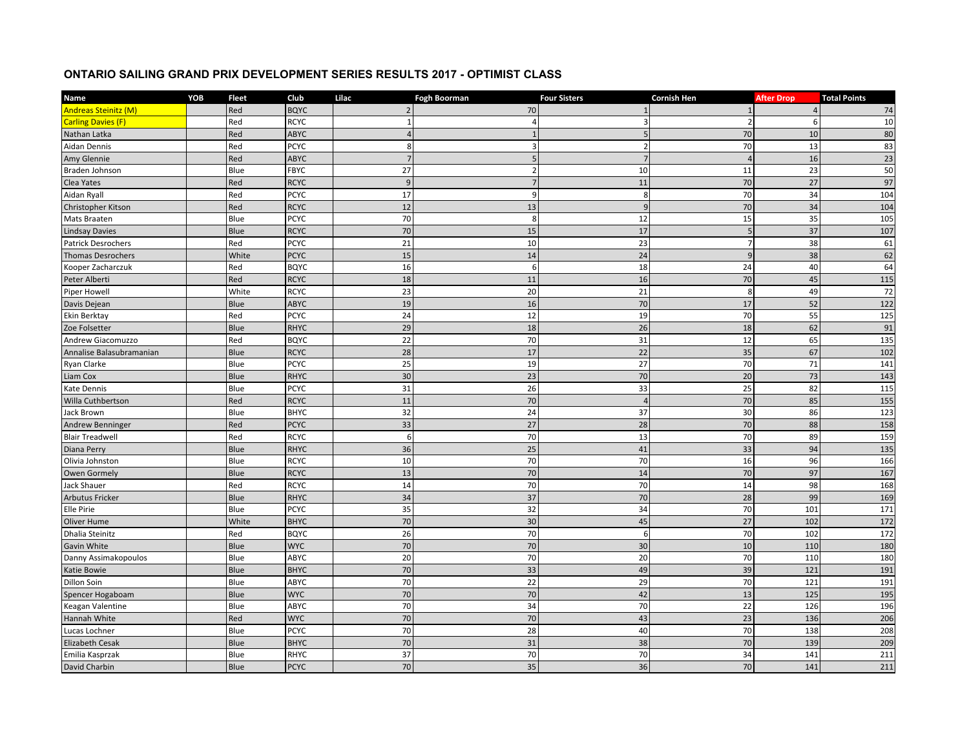## **ONTARIO SAILING GRAND PRIX DEVELOPMENT SERIES RESULTS 2017 - OPTIMIST CLASS**

| Name                        | YOB | <b>Fleet</b> | Club        | Lilac          | <b>Fogh Boorman</b> | <b>Four Sisters</b> | <b>Cornish Hen</b> | <b>After Drop</b> | <b>Total Points</b> |
|-----------------------------|-----|--------------|-------------|----------------|---------------------|---------------------|--------------------|-------------------|---------------------|
| <b>Andreas Steinitz (M)</b> |     | Red          | <b>BQYC</b> | $\overline{2}$ | 70                  |                     |                    | $\Delta$          | 74                  |
| <b>Carling Davies (F)</b>   |     | Red          | <b>RCYC</b> |                |                     |                     |                    | 6                 | 10                  |
| Nathan Latka                |     | Red          | <b>ABYC</b> | $\Delta$       |                     | $\overline{5}$      | 70                 | 10                | $80\,$              |
| Aidan Dennis                |     | Red          | <b>PCYC</b> | 8              | $\overline{3}$      | $\overline{2}$      | 70                 | 13                | 83                  |
| Amy Glennie                 |     | Red          | ABYC        | $\overline{7}$ | 5                   | $\overline{7}$      | $\sqrt{ }$         | 16                | 23                  |
| Braden Johnson              |     | Blue         | FBYC        | 27             | $\overline{2}$      | 10                  | 11                 | 23                | 50                  |
| Clea Yates                  |     | Red          | <b>RCYC</b> | $\overline{9}$ | $\overline{7}$      | 11                  | 70                 | 27                | 97                  |
| Aidan Ryall                 |     | Red          | <b>PCYC</b> | 17             | $\overline{9}$      | 8                   | 70                 | 34                | 104                 |
| Christopher Kitson          |     | Red          | <b>RCYC</b> | 12             | 13                  | $\mathbf{q}$        | 70                 | 34                | 104                 |
| Mats Braaten                |     | Blue         | <b>PCYC</b> | 70             | 8                   | 12                  | 15                 | 35                | 105                 |
| <b>Lindsay Davies</b>       |     | Blue         | <b>RCYC</b> | 70             | 15                  | 17                  | 5                  | 37                | 107                 |
| <b>Patrick Desrochers</b>   |     | Red          | <b>PCYC</b> | 21             | 10                  | 23                  | $\overline{7}$     | 38                | 61                  |
| <b>Thomas Desrochers</b>    |     | White        | <b>PCYC</b> | 15             | 14                  | 24                  | $\overline{9}$     | 38                | 62                  |
| Kooper Zacharczuk           |     | Red          | <b>BQYC</b> | 16             | 6                   | 18                  | 24                 | 40                | 64                  |
| Peter Alberti               |     | Red          | <b>RCYC</b> | 18             | 11                  | 16                  | 70                 | 45                | 115                 |
| <b>Piper Howell</b>         |     | White        | <b>RCYC</b> | 23             | 20                  | 21                  | 8                  | 49                | 72                  |
| Davis Dejean                |     | Blue         | <b>ABYC</b> | 19             | 16                  | 70                  | 17                 | 52                | 122                 |
| Ekin Berktay                |     | Red          | <b>PCYC</b> | 24             | 12                  | 19                  | 70                 | 55                | 125                 |
| Zoe Folsetter               |     | Blue         | <b>RHYC</b> | 29             | 18                  | 26                  | 18                 | 62                | 91                  |
| Andrew Giacomuzzo           |     | Red          | <b>BQYC</b> | 22             | 70                  | 31                  | 12                 | 65                | 135                 |
| Annalise Balasubramanian    |     | Blue         | <b>RCYC</b> | 28             | 17                  | 22                  | 35                 | 67                | 102                 |
| Ryan Clarke                 |     | Blue         | <b>PCYC</b> | 25             | 19                  | 27                  | 70                 | 71                | 141                 |
| Liam Cox                    |     | Blue         | <b>RHYC</b> | 30             | 23                  | 70                  | 20                 | 73                | 143                 |
| <b>Kate Dennis</b>          |     | Blue         | <b>PCYC</b> | 31             | 26                  | 33                  | 25                 | 82                | 115                 |
| Willa Cuthbertson           |     | Red          | <b>RCYC</b> | 11             | 70                  | $\overline{A}$      | 70                 | 85                | 155                 |
| Jack Brown                  |     | Blue         | <b>BHYC</b> | 32             | 24                  | 37                  | 30                 | 86                | 123                 |
| Andrew Benninger            |     | Red          | <b>PCYC</b> | 33             | 27                  | 28                  | 70                 | 88                | 158                 |
| <b>Blair Treadwell</b>      |     | Red          | <b>RCYC</b> | $\mathbf{6}$   | 70                  | 13                  | 70                 | 89                | 159                 |
| Diana Perry                 |     | Blue         | <b>RHYC</b> | 36             | 25                  | 41                  | 33                 | 94                | 135                 |
| Olivia Johnston             |     | Blue         | <b>RCYC</b> | 10             | 70                  | 70                  | 16                 | 96                | 166                 |
| Owen Gormely                |     | Blue         | <b>RCYC</b> | 13             | 70                  | 14                  | 70                 | 97                | 167                 |
| Jack Shauer                 |     | Red          | <b>RCYC</b> | 14             | 70                  | $\overline{70}$     | 14                 | 98                | 168                 |
| <b>Arbutus Fricker</b>      |     | Blue         | <b>RHYC</b> | 34             | 37                  | 70                  | 28                 | 99                | 169                 |
| Elle Pirie                  |     | Blue         | PCYC        | 35             | 32                  | 34                  | 70                 | 101               | 171                 |
| Oliver Hume                 |     | White        | <b>BHYC</b> | 70             | 30                  | 45                  | 27                 | 102               | 172                 |
| Dhalia Steinitz             |     | Red          | <b>BQYC</b> | 26             | 70                  | 6                   | 70                 | 102               | 172                 |
| Gavin White                 |     | Blue         | <b>WYC</b>  | 70             | 70                  | 30                  | 10                 | 110               | 180                 |
| Danny Assimakopoulos        |     | Blue         | ABYC        | 20             | 70                  | 20                  | 70                 | 110               | 180                 |
| Katie Bowie                 |     | Blue         | <b>BHYC</b> | 70             | 33                  | 49                  | 39                 | 121               | 191                 |
| Dillon Soin                 |     | Blue         | ABYC        | 70             | 22                  | 29                  | 70                 | 121               | 191                 |
| Spencer Hogaboam            |     | Blue         | <b>WYC</b>  | 70             | 70                  | 42                  | 13                 | 125               | 195                 |
| Keagan Valentine            |     | Blue         | ABYC        | 70             | 34                  | 70                  | 22                 | 126               | 196                 |
| Hannah White                |     | Red          | <b>WYC</b>  | 70             | 70                  | 43                  | 23                 | 136               | 206                 |
| Lucas Lochner               |     | Blue         | <b>PCYC</b> | 70             | 28                  | 40                  | 70                 | 138               | 208                 |
| <b>Elizabeth Cesak</b>      |     | Blue         | <b>BHYC</b> | 70             | 31                  | 38                  | 70                 | 139               | 209                 |
| Emilia Kasprzak             |     | Blue         | RHYC        | 37             | 70                  | 70                  | 34                 | 141               | 211                 |
| David Charbin               |     | Blue         | <b>PCYC</b> | 70             | 35                  | 36                  | 70                 | 141               | 211                 |